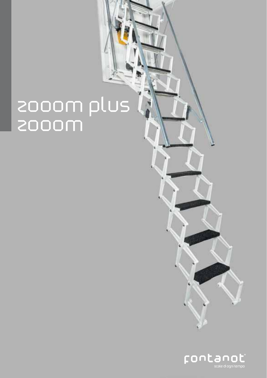# zooom<br>2000m plus

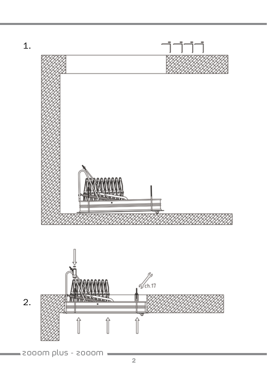

 $\overline{2}$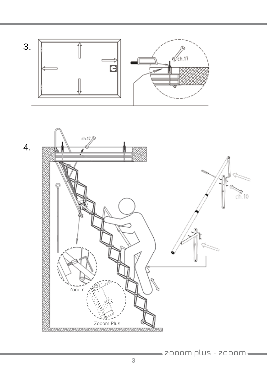



zooom plus - zooom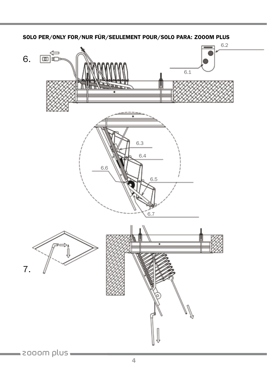

SOLO PER/ONLY FOR/NUR FÜR/SEULEMENT POUR/SOLO PARA: ZOOOM PLUS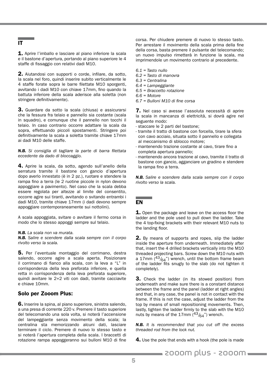# IT

1. Aprire l'imballo e lasciare al piano inferiore la scala e il bastone d'apertura, portando al piano superiore le 4 staffe di fissaggio con relativi dadi M10.

2. Aiutandosi con supporti o corde, infilare, da sotto, la scala nel foro, quindi inserire subito verticalmente le 4 staffe forate sopra le barre filettate M10 sporgenti, avvitando i dadi M10 con chiave 17mm, fino quando la battuta inferiore della scala aderisce alla soletta (non stringere definitivamente).

3. Guardare da sotto la scala (chiusa) e assicurarsi che la fessura fra telaio e pannello sia costante (scala in squadro), e comunque che il pannello non tocchi il telaio. In caso contrario occorre adattare la scala da sopra, effettuando piccoli spostamenti. Stringere poi definitivamente la scala a soletta tramite chiave 17mm ai dadi M10 delle staffe.

*N.B. Si consiglia di tagliare la parte di barra filettata eccedente da dado di bloccaggio.*

4. Aprire la scala, da sotto, agendo sull'anello della serratura tramite il bastone con gancio d'apertura dopo averlo innestato (è in 2 pz.), ruotare e stendere la rampa fino a terra (le 2 ruotine piccole in nylon devono appoggiare a pavimento). Nel caso che la scala debba essere regolata per altezze al limite del consentito, occorre agire sui tiranti, avvitando o svitando entrambi i dadi M10, tramite chiave 17mm (i dadi devono sempre appoggiare contemporaneamente sui nottolini).

A scala appoggiata, svitare o avvitare il fermo corsa in modo che lo stesso appoggi sempre sul telaio.

*N.B. La scala non va murata.*

*N.B. Salire e scendere dalla scala sempre con il corpo rivolto verso la scala.*

5. Per l'eventuale montaggio del corrimano, destra salendo, occorre agire a scala aperta. Posizionare il corrimano di fianco alla scala, con la leva a "L" in corrispondenza della leva preforata inferiore, e quella retta in corrispondenza della leva preforata superiore, quindi avvitare le 2+2 viti con dadi, tramite cacciavite e chiave 10mm.

# Solo per Zooom Plus:

6. Inserire la spina, al piano superiore, sinistra salendo, a una presa di corrente 220 v. Premere il tasto superiore del telecomando una sola volta, si noterà l'accensione del lampeggiante senza movimento della scala; la centralina sta memorizzando alcuni dati, lasciare terminare il ciclo. Premere di nuovo lo stesso tasto e si noterà l'apertura completa della scala. I braccetti di rotazione rampa appoggeranno sui bulloni M10 di fine

corsa. Per chiudere premere di nuovo lo stesso tasto. Per arrestare il movimento della scala prima della fine della corsa, basta premere il pulsante del telecomando; un nuovo impulso rimetterà in funzione la scala, ma imprimendole un movimento contrario al precedente.

- *6.1 = Tasto nullo*
- *6.2 = Tasto di manovra*
- *6.3 = Centralina*
- *6.4 = Lampeggiante*
- *6.5 = Braccetto rotazione*
- *6.6 = Motore*
- *6.7 = Bulloni M10 di fine corsa*

7. Nel caso si avesse l'assoluta necessità di aprire la scala in mancanza di elettricità, si dovrà agire nel seguente modo:

- staccare le 2 parti del bastone;
- tramite il tratto di bastone con forcella, tirare la sfera con cavo acciaio, situata sotto il pannello e collegata al meccanismo di sblocco motore;
- mantenendo trazione costante al cavo, tirare fino a completa apertura pannello;
- mantenendo ancora trazione al cavo, tramite il tratto di bastone con gancio, agganciare un gradino e stendere la rampa fino a terra.

*N.B. Salire e scendere dalla scala sempre con il corpo rivolto verso la scala.*

# EN

**1.** Open the package and leave on the access floor the ladder and the pole used to pull down the ladder. Take the 4 top-fixing brackets with their relevant M10 nuts to the landing floor.

2. By means of supports and ropes, slip the ladder inside the aperture from underneath. Immediately after that, insert the 4 drilled brackets vertically into the M10 threaded projecting bars. Screw down the M10 nuts with a 17mm  $\left(\frac{43}{64}\right)$  wrench, until the bottom frame beam of the ladder fits snugly to the slab (do not tighten it completely).

**3.** Check the ladder (in its stowed position) from underneath and make sure there is a constant distance between the frame and the panel (ladder at right angles) and that, in any case, the panel is not in contact with the frame. If this is not the case, adjust the ladder from the top by means of small repositioning movements. Then, lastly, tighten the ladder firmly to the slab with the M10 nuts by means of the  $17$ mm  $(^{43}/_{64}$ ") wrench.

*N.B. It is recommended that you cut off the excess threaded rod from the lock nut.*

4. Use the pole that ends with a hook (the pole is made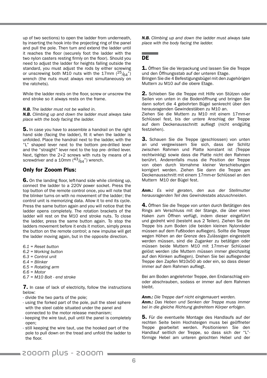up of two sections) to open the ladder from underneath, by inserting the hook into the projecting ring of the panel and pull the pole. Then turn and extend the ladder until it reaches the floor (securely foot the ladder with the two nylon casters resting firmly on the floor). Should you need to adjust the ladder for heights falling outside the standard, you must adjust the rods by either screwing or unscrewing both M10 nuts with the 17mm  $(25/64)$ wrench (the nuts must always rest simultaneously on the ratchets).

While the ladder rests on the floor, screw or unscrew the end stroke so it always rests on the frame.

*N.B. The ladder must not be walled in.*

*N.B. Climbing up and down the ladder must always take place with the body facing the ladder.*

5. In case you have to assemble a handrail on the right hand side (facing the ladder), fit it when the ladder is unfolded. Place the handrail next to the ladder, with the "L" shaped lever next to the bottom pre-drilled lever and the "straight" lever next to the top pre- drilled lever. Next, tighten the 2+2 screws with nuts by means of a screwdriver and a 10mm  $(^{43}/_{64})$  wrench.

# Only for Zooom Plus:

6. On the landing floor, left-hand side while climbing up, connect the ladder to a 220V power socket. Press the top button of the remote control once, you will note that the blinker turns on with no movement of the ladder; the control unit is memorizing data. Allow it to end its cycle. Press the same button again and you will notice that the ladder opens completely. The rotation brackets of the ladder will rest on the M10 end stroke nuts. To close the ladder, press the same button again. To stop the ladders movement before it ends it motion, simply press the button on the remote control; a new impulse will get the ladder moving again, but in the opposite direction.

- *6.1 = Reset button*
- *6.2 = Working button*
- *6.3 = Control unit*
- *6.4 = Blinker*
- *6.5 = Rotating arm*
- *6.6 = Motor*
- *6.7 = M10 Bolt end stroke*

7. In case of lack of electricity, follow the instructions below:

- divide the two parts of the pole;
- using the forked part of the pole, pull the steel sphere with the steel cable situated under the panel and connected to the motor release mechanism;
- keeping the wire taut, pull until the panel is completely open;
- still keeping the wire taut, use the hooked part of the pole to pull down on the tread and unfold the ladder to the floor.

*N.B. Climbing up and down the ladder must always take place with the body facing the ladder.*

#### **DE**

1. Öffnen Sie die Verpackung und lassen Sie die Treppe und den Öffnungsstab auf der unteren Etage.

Bringen Sie die 4 Befestigungsbügel mit den zugehörigen Muttern zu M10 auf die obere Etage.

2. Schieben Sie die Treppe mit Hilfe von Stützen oder Seilen von unten in die Bodenöffnung und bringen Sie dann sofort die 4 gebohrten Bügel senkrecht über den herausragenden Gewindestäben zu M10 an.

Ziehen Sie die Muttern zu M10 mit einem 17mm-er Schlüssel fest, bis der untere Anschlag der Treppe auf dem Deckenausschnitt aufliegt (nicht endgültig festziehen).

3. Schauen Sie die Treppe (geschlossen) von unten an und vergewissern Sie sich, dass der Schlitz zwischen Rahmen und Platte konstant ist (Treppe rechtwinklig) sowie dass die Platte nicht den Rahmen berührt. Anderenfalls muss die Position der Treppe von oben durch Vornahme kleiner Verschiebungen korrigiert werden. Ziehen Sie dann die Treppe am Deckenausschnitt mit einem 17mm-er Schlüssel an den Muttern M10 der Bügel fest.

*Anm.: Es wird geraten, den aus der Stellmutter herausragenden Teil des Gewindestabs abzuschneiden.*

4. Öffnen Sie die Treppe von unten durch Betätigen des Rings am Verschluss mit der Stange, die über einen Haken zum Öffnen verfügt, indem dieser eingeführt und gedreht wird (besteht aus 2 Teilen). Ziehen Sie die Treppe bis zum Boden (die beiden kleinen Nylonräder müssen auf dem Fußboden aufliegen). Sollte die Treppe wegen Höhen an der Grenze des Zulässigen eingestellt werden müssen, sind die Zuganker zu betätigen oder müssen beide Muttern M10 mit 17mm-er Schlüssel gelöst werden (die Muttern müssen immer gleichzeitig auf den Klinken aufliegen). Drehen Sie bei aufliegender Treppe den Zapfen M10x50 ab oder ein, so dass dieser immer auf dem Rahmen aufliegt.

Bei am Boden angelehnter Treppe, den Endanschlag einoder abschrauben, sodass er immer auf dem Rahmen bleibt.

*Anm.: Die Treppe darf nicht eingemauert werden. Anm.: Das Heben und Senken der Treppe muss immer bei in die gleiche Richtung gedrehtem Körper erfolgen.*

5. Für die eventuelle Montage des Handlaufs auf der rechten Seite beim Hochsteigen muss bei geöffneter Treppe gearbeitet werden. Positionieren Sie den Handlauf seitlich der Treppe, so dass sich der "L" förmige Hebel am unteren gelochten Hebel und der

zooom plus - zooom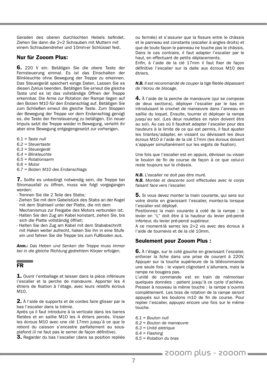Geraden des oberen durchlochten Hebels befindet. Ziehen Sie dann die 2+2 Schrauben mit Muttern mit einem Schraubendreher und 10mm-er Schlüssel fest.

# Nur für Zooom Plus:

6. 220 V ein. Betätigen Sie die obere Taste der Fernsteuerung einmal. Es ist das Einschalten der Blinkleuchte ohne Bewegung der Treppe zu erkennen. Das Steuergerät speichert einige Daten. Lassen Sie es diesen Zyklus beenden. Betätigen Sie erneut die gleiche Taste und es ist das vollständige Öffnen der Treppe erkennbar. Die Arme zur Rotation der Rampe liegen auf den Bolzen M10 für den Endanschlag auf. Betätigen Sie zum Schließen erneut die gleiche Taste. Zum Stoppen der Bewegung der Treppe vor dem Endanschlag genügt es, die Taste der Fernsteuerung zu betätigen. Ein neuer Impuls setzt die Treppe wieder in Bewegung, verleiht ihr aber eine Bewegung entgegengesetzt zur vorherigen.

- *6.1 = Taste null*
- *6.2 = Steuertaste*
- *6.3 = Steuergerät*
- *6.4 = Blinkleuchte*
- *6.5 = Rotationsarm*
- *6.6 = Motor*
- *6.7 = Bolzen M10 des Endanschlags*

7. Sollte es unbedingt notwendig sein, die Treppe bei Stromausfall zu öffnen, muss wie folgt vorgegangen werden:

- Trennen Sie die 2 Teile des Stabs;
- Ziehen Sie mit dem Gabelstück des Stabs an der Kugel mit dem Stahlseil unter der Platte, die mit dem Mechanismus zur Freigabe des Motors verbunden ist;
- Halten Sie den Zug am Kabel konstant, ziehen Sie, bis sich die Platte vollständig öffnet;
- Halten Sie den Zug am Kabel mit dem Stababschnitt mit Haken weiter aufrecht, haken Sie ihn in eine Stufe ein und fahren Sie die Treppe bis zum Fußboden aus.

*Anm.: Das Heben und Senken der Treppe muss immer bei in die gleiche Richtung gedrehtem Körper erfolgen.*

# FR

1. Ouvrir l'emballage et laisser dans la pièce inférieure l'escalier et la perche de manœuvre. Apporter les 4 étriers de fixation à l'étage, avec leurs relatifs écrous  $M10.$ 

2. À l'aide de supports et de cordes faire glisser par le bas l'escalier dans la trémie.

Après ça il faut introduire à la verticale dans les barres filetées et en saillie M10 les 4 étriers percés. Visser les écrous M10 avec une clé 17mm jusqu'à ce que le rebord du caisson s'encastre parfaitement au sousplafond (il ne faut pas le serrer de façon définitive).

3. Regarder du bas l'escalier (dans sa position repliée

ou fermée) et s'assurer que la fissure entre le châssis et le panneau est constante (escalier à angles droits) et que de toute façon le panneau ne touche pas le châssis. Dans le cas contraire, il faut adapter l'escalier par le haut, en effectuant de petits déplacements.

Enfin, à l'aide de la clé 17mm il faut fixer de façon définitive l'escalier sur la dalle aux écrous M10 des étriers.

*N.B. Il est recommandé de couper la tige filetée dépassant de l'écrou de blocage.*

4. À l'aide de la perche de manœuvre (qui se compose de deux sections), déployer l'escalier par le bas en introduisant le crochet de manœuvre dans l'anneau en saillie du loquet. Ensuite, tourner et déployer la rampe jusqu'au sol. (Les deux roulettes en nylon doivent être au sol). Au cas où il faudrait adapter l'escalier pour des hauteurs à la limite de ce qui est permis, il faut ajuster les tirantes/adapter, en vissant ou dévissant les deux écrous M10 à l'aide de la clé 17mm (les écrous doivent s'appuyer simultanément sur les ergots de fixation).

Une fois que l'escalier est en appuis, dévisser ou visser le boulon de fin de course de façon à ce que celui-ci reste toujours sur le châssis.

*N.B. L'escalier ne doit pas être muré.* 

*N.B. Montée et descente sont effectuées avec le corps faisant face vers l'escalier.*

5. Si vous devez monter la main courante, qui sera sur votre droite en gravissant l'escalier, montez-la lorsque l'escalier est déployé.

Positionnez la main courante à coté de la rampe ; le levier en "L" doit être à la hauteur du levier pré-percé inferieur, du levier pré-percé supérieur.

A ce moment-là serrez les 2+2 vis avec des écrous à l'aide de tournevis et de la clé 10mm.

# Seulement pour Zooom Plus :

6. À l'étage, sur le coté gauche en gravissant l'escalier, enforcer la fiche dans une prise de courant à 220V. Appuyer sur la touche supérieure de la télécommande une seule fois : le voyant clignotant s'allumera, mais la rampe ne bougera pas.

L'unité de commande est en train de mémoriser quelques données : patient jusqu'à ce cycle d'achève. Presser à nouveau la même touche : la rampe s'ouvrira complètement. Les bras de rotation de la rampe seront appuyés sur les boulons m10 de fin de course. Pour replier l'escalier, appuyez encore une fois sur le même touche.

- *6.1 = Bouton null*
- *6.2 = Bouton de manœuvre*
- *6.3 = Unité eletrique*
- *6.4 = Flashing*
- *6.5 = Rotation du bras*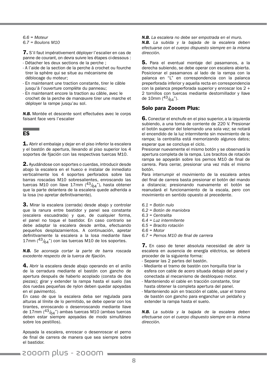*6.6 = Moteur 6.7 = Boulons M10*

7. S'il faut impérativement déployer l'escalier en cas de panne de courant, on devra suivre les étapes ci-dessous : - Détacher les deux sections de la perche ;

- A l'aide de la section de la perche à crochet ou fourche tirer la sphère qui se situe au mécanisme de déblocage du moteur;
- En maintenant une traction constante, tirer le câble jusqu'à l'ouverture complète du panneau;
- En maintenant encore la traction au câble, avec le crochet de la perche de manœuvre tirer une marche et déployer la rampe jusqu'au sol.

*N.B.* Montée et descente sont effectuées avec le corps faisant face vers l'escalier

# ES

1. Abrir el embalaje y dejar en el piso inferior la escalera y el bastón de apertura, llevando al piso superior los 4 soportes de fijación con las respectivas tuercas M10.

2. Ayudándose con soportes o cuerdas, introducir desde abajo la escalera en el hueco e instalar de inmediato verticalmente los 4 soportes perforados sobre las barras roscadas M10 sobresalientes, enroscando las tuercas M10 con llave 17mm (<sup>43</sup>/<sub>64</sub>"), hasta obtener que la parte delantera de la escalera quede adherida a la losa (no apretar definitivamente).

3. Mirar la escalera (cerrada) desde abajo y controlar que la ranura entre bastidor y panel sea constante (escalera escuadrada) y que, de cualquier forma, el panel no toque el bastidor. En caso contrario se debe adaptar la escalera desde arriba, efectuando pequeños desplazamientos. A continuación, apretar definitivamente la escalera a la losa mediante llave  $17$ mm ( $43/64$ ") con las tuercas M10 de los soportes.

*N.B. Se aconseja cortar la parte de barra roscada excedente respecto de la tuerca de fijación.*

4. Abrir la escalera desde abajo operando en el anillo de la cerradura mediante el bastón con gancho de apertura después de haberlo acoplado (consta de dos piezas); girar y extender la rampa hasta el suelo (las dos ruedas pequeñas de nylon deben quedar apoyadas en el pavimento).

En caso de que la escalera deba ser regulada para alturas al límite de lo permitido, se debe operar con los tirantes, enroscando o desenroscando mediante llave de 17mm (<sup>43</sup>/<sub>64</sub>") ambas tuercas M10 (ambas tuercas deben estar siempre apoyadas de modo simultáneo sobre los pestillos).

Apoyada la escalera, enroscar o desenroscar el perno de final de carrera de manera que sea siempre sobre el bastidor.

*N.B. La escalera no debe ser empotrada en el muro.*

*N.B. La subida y la bajada de la escalera deben efectuarse con el cuerpo dispuesto siempre en la misma dirección.*

5. Para el eventual montaje del pasamanos, a la derecha subiendo, se debe operar con escalera abierta. Posicionar el pasamanos al lado de la rampa con la palanca en "L" en correspondencia con la palanca preperforada inferior y aquella recta en correspondencia con la palanca preperforada superior y enroscar los 2 + 2 tornillos con tuercas mediante destornillador y llave de 10mm (43/ 64").

# Solo para Zooom Plus:

6. Conectar el enchufe en el piso superior, a la izquierda subiendo, a una toma de corriente de 220 V. Presionar el botón superior del telemando una sola vez; se notará el encendido de la luz intermitente sin movimiento de la rampa; la centralita está memorizando algunos datos; esperar que se concluya el ciclo.

Presionar nuevamente el mismo botón y se observará la apertura completa de la rampa. Los bracitos de rotación rampa se apoyarán sobre los pernos M10 de final de carrera. Para cerrar, presionar una vez más el mismo botón.

Para interrumpir el movimiento de la escalera antes del final de carrera basta presionar el botón del mando a distancia; presionando nuevamente el botón se reanudará el funcionamiento de la escala, pero con movimiento en sentido opuesto al precedente.

- *6.1 = Botón nulo*
- *6.2 = Botón de maniobra*
- *6.3 = Centralita*
- *6.4 = Luz intermitente*
- *6.5 = Bracito rotación*
- *6.6 = Motor*
- *6.7 = Pernos M10 de final de carrera*

7. En caso de tener absoluta necesidad de abrir la escalera en ausencia de energía eléctrica, se deberá proceder de la siguiente forma:

- .<br>- Separar las 2 partes del bastón.
- Mediante el tramo de bastón con horquilla tirar la esfera con cable de acero situada debajo del panel y conectada al mecanismo de desbloqueo motor.
- Manteniendo el cable en tracción constante, tirar hasta obtener la completa apertura del panel.
- Manteniendo aún en tracción el cable, usar el tramo de bastón con gancho para enganchar un peldaño y extender la rampa hasta el suelo.

*N.B. La subida y la bajada de la escalera deben efectuarse con el cuerpo dispuesto siempre en la misma dirección.*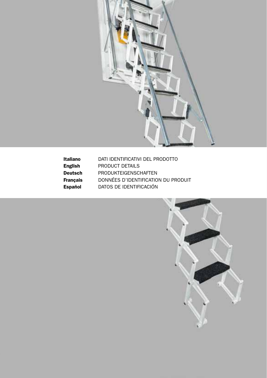

| DATI IDENTIFICATIVI DEL PRODOTTO    |
|-------------------------------------|
| PRODUCT DETAILS                     |
| <b>PRODUKTFIGENSCHAFTEN</b>         |
| DONNÉES D'IDENTIFICATION DU PRODUIT |
| DATOS DE IDENTIFICACIÓN             |
|                                     |

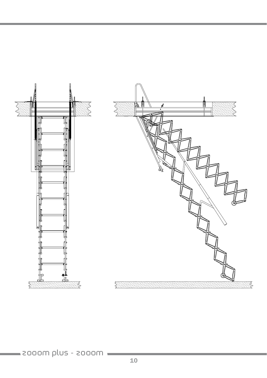

sooom plus - 2000m <mark>....</mark>...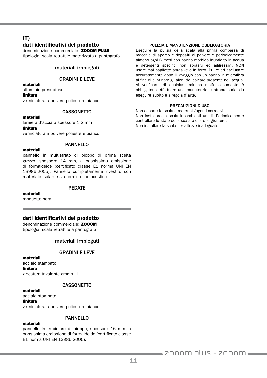# IT)

# dati identificativi del prodotto

denominazione commerciale: **ZOOOM PLUS** tipologia: scala retrattile motorizzata a pantografo

# materiali impiegati

# GRADINI E LEVE

materiali alluminio pressofuso finitura verniciatura a polvere poliestere bianco

# **CASSONETTO**

materiali lamiera d'acciaio spessore 1,2 mm finitura

verniciatura a polvere poliestere bianco

# PANNELLO

# materiali

pannello in multistrato di pioppo di prima scelta grezzo, spessore 14 mm, a bassissima emissione di formaldeide (certificato classe E1 norma UNI EN 13986:2005). Pannello completamente rivestito con materiale isolante sia termico che acustico

#### PEDATE

materiali

moquette nera

# dati identificativi del prodotto

denominazione commerciale: **ZOOOM** tipologia: scala retrattile a pantografo

# materiali impiegati

# GRADINI E LEVE

materiali acciaio stampato finitura zincatura trivalente cromo III

# **CASSONETTO**

materiali acciaio stampato finitura verniciatura a polvere poliestere bianco

# **PANNELLO**

#### materiali

pannello in truciolare di pioppo, spessore 16 mm, a bassissima emissione di formaldeide (certificato classe E1 norma UNI EN 13986:2005).

#### PULIZIA E MANUTENZIONE OBBLIGATORIA

Eseguire la pulizia della scala alla prima comparsa di macchie di sporco e depositi di polvere e periodicamente almeno ogni 6 mesi con panno morbido inumidito in acqua e detergenti specifici non abrasivi ed aggressivi. NON usare mai pagliette abrasive o in ferro. Pulire ed asciugare accuratamente dopo il lavaggio con un panno in microfibra al fine di eliminare gli aloni del calcare presente nell'acqua. Al verificarsi di qualsiasi minimo malfunzionamento è obbligatorio effettuare una manutenzione straordinaria, da eseguire subito e a regola d'arte.

#### PRECAUZIONI D'USO

Non esporre la scala a materiali/agenti corrosivi. Non installare la scala in ambienti umidi. Periodicamente controllare lo stato della scala e oliare le giunture. Non installare la scala per altezze inadeguate.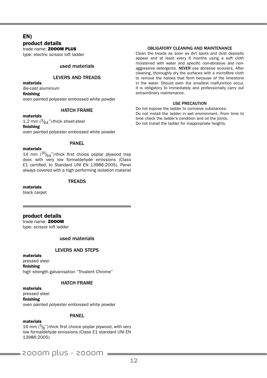# EN) product details

trade name: ZOOOM PLUS

type: electric scissor loft ladder

# used materials

#### LEVERS AND TREADS

#### materials

die-cast aluminium finishing oven painted polyester embossed white powder

#### HATCH FRAME

materials 1,2 mm  $(3/64)$ <sup>"</sup>)-thick sheet-steel finishing oven painted polyester embossed white powder

#### PANEL

14 mm  $\binom{35}{64}$ ")-thick first choice poplar plywood trap door, with very low formaldehyde emissions (Class E1 certified, to Standard UNI EN 13986:2005). Panel always covered with a high performing isolation material

# **TREADS**

materials black carpet

materials

product details trade name: ZOOOM

type: scissor loft ladder

# used materials

# LEVERS AND STEPS

#### materials

pressed steel finishing high strength galvanisation "Trivalent Chrome"

# HATCH FRAME

materials pressed steel finishing oven painted polyester embossed white powder

# PANEL

materials 16 mm (5/ 8")-thick first choice poplar plywood, with very low formaldehyde emissions (Class E1 standard UNI EN 13986:2005)

# zooom plus - zooom

# OBLIGATORY CLEANING AND MAINTENANCE

Clean the treads as soon as dirt spots and dust deposits appear and at least every 6 months using a soft cloth moistened with water and specific non-abrasive and nonaggressive detergents. NEVER use abrasive scourers. After cleaning, thoroughly dry the surfaces with a microfibre cloth to remove the haloes that form because of the limestone in the water. Should even the smallest malfunction occur, it is obligatory to immediately and professionally carry out extraordinary maintenance.

# USE PRECAUTION

Do not expose the ladder to corrosive substances. Do not install the ladder in wet environment. From time to time check the ladder's condition and oil the joints. Do not install the ladder for inappropriate heights.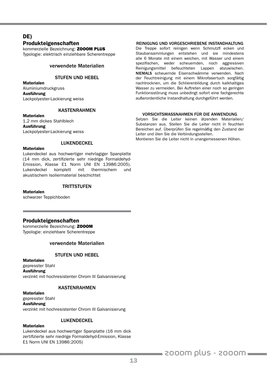# DE) Produkteigenschaften

kommerzielle Bezeichnung: ZOOOM PLUS

Typologie: elektrisch einziehbare Scherentreppe

# verwendete Materialien

### STUFEN UND HEBEL

# Materialen

Aluminiumdruckgruss Ausführung Lackpolyester-Lackierung weiss

# KASTENRAHMEN

#### Materialen

1,2 mm dickes Stahlblech Ausführung Lackpolyester-Lackierung weiss

# **LUKENDECKEL**

#### Materialen

Lukendeckel aus hochwertiger mehrlagiger Spanplatte (14 mm dick, zertifizierte sehr niedrige Formaldehyd-Emission, Klasse E1 Norm UNI EN 13986:2005). Lukendeckel komplett mit thermischem und akustischem lsoliermaterial beschichtet

# **TRITTSTUFEN**

# Materialen

schwarzer Teppichboden

# Produkteigenschaften

kommerzielle Bezeichnung: ZOOOM Typologie: einziehbare Scherentreppe

# verwendete Materialien

# STUFEN UND HEBEL

Materialen gepresster Stahl Ausführung verzinkt mit hochresistenter Chrom III Galvanisierung

# KASTENRAHMEN

Materialen gepresster Stahl Ausführung verzinkt mit hochresistenter Chrom III Galvanisierung

# LUKENDECKEL

# Materialen

Lukendeckel aus hochwertiger Spanplatte (16 mm dick zertifizierte sehr niedrige Formaldehyd-Emission, Klasse E1 Norm UNI EN 13986:2005)

#### REINIGUNG UND VORGESCHRIEBENE INSTANDHALTUNG

Die Treppe sofort reinigen wenn Schmutzfl ecken und Staubansammlungen entstehen und sie mindestens alle 6 Monate mit einem weichen, mit Wasser und einem spezifischen, weder scheuernden, noch aggressiven<br>Reinigungsmittel befeuchteten Lannen abzuwischen einigungsmittel befeuchteten NIEMALS scheuernde Eisenschwämme verwenden. Nach der Feuchtreinigung mit einem Mikrofasertuch sorgfältig nachtrocknen, um die Schlierenbildung durch kalkhaltiges Wasser zu vermeiden. Bei Auftreten einer noch so geringen Funktionsstörung muss unbedingt sofort eine fachgerechte außerordentliche Instandhaltung durchgeführt werden.

#### VORSICHTSMASSNAHMEN FÜR DIE ANWENDUNG

Setzen Sie die Leiter keinen ätzenden Materialien/ Substanzen aus. Stellen Sie die Leiter nicht in feuchten Bereichen auf. Überprüfen Sie regelmäßig den Zustand der Leiter und ölen Sie die Verbindungsstellen.

Montieren Sie die Leiter nicht in unangemessenen Höhen.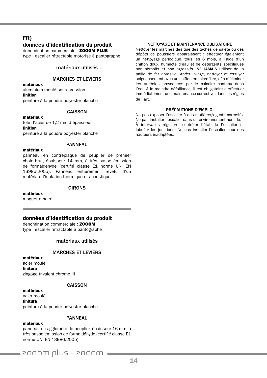# FR)

# données d'identification du produit

denomination commerciale : ZOOOM PLUS type : escalier rétractable motorisé à pantographe

#### matériaux utilisés

#### MARCHES ET LEVIERS

#### matériaux

aluminium moulé sous pression finition peinture à la poudre polyester blanche

#### **CAISSON**

### matériaux

tôle d'acier de 1,2 mm d'épaisseur finition peinture à la poudre polyester blanche

#### PANNEAU

matériaux panneau en contreplaqué de peuplier de premier choix brut, épaisseur 14 mm, à très basse émission de formaldéhyde (certifié classe E1 norme UNI EN 13986:2005). Panneau entièrement revêtu d'un

matériau d'isolation thermique et acoustique

#### GIRONS

#### matériaux

moquette noire

# données d'identification du produit

denomination commerciale: ZOOOM type : escalier rétractable à pantographe

# matériaux utilisés

#### MARCHES ET LEVIERS

matériaux acier moulé finitura zingage trivalent chrome III

# **CAISSON**

matériaux acier moulé finitura peinture à la poudre polyester blanche

# **PANNEAU**

#### matériaux

panneau en aggloméré de peuplier, épaisseur 16 mm, à très basse émission de formaldéhyde (certifié classe E1 norme UNI EN 13986:2005)

# zooom plus - zooom

#### NETTOYAGE ET MAINTENANCE OBLIGATOIRE

Nettoyer les marches dès que des taches de saleté ou des dépôts de poussière apparaissent ; effectuer également un nettoyage périodique, tous les 6 mois, à l'aide d'un chiffon doux, humecté d'eau et de détergents spécifiques non abrasifs et non agressifs. NE JAMAIS utiliser de la paille de fer abrasive. Après lavage, nettoyer et essuyer soigneusement avec un chiffon en microfibre, afin d'éliminer les auréoles provoquées par le calcaire contenu dans l'eau À la moindre défaillance, il est obligatoire d'effectuer immédiatement une maintenance corrective, dans les règles de l'art.

#### PRÉCAUTIONS D'EMPLOI

Ne pas exposer l'escalier à des matières/agents corrosifs. Ne pas installer l'escalier dans un environnement humide. À intervalles réguliers, contrôler l'état de l'escalier et lubrifier les jonctions. Ne pas installer l'escalier pour des hauteurs inadaptées.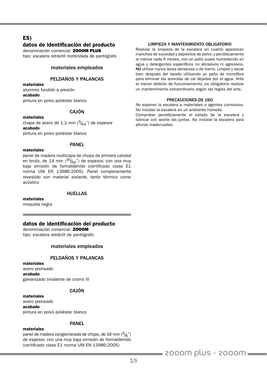# ES)

# datos de identificación del producto

denominación comercial: **ZOOOM PLUS** 

tipo: escalera retráctil motorizada de pantógrafo

# materiales empleados

# PELDAÑOS Y PALANCAS

#### materiales

aluminio fundido a presión acabado pintura en polvo poliéster blanco

# **CAJÓN**

#### materiales chapa de acero de 1,2 mm  $(3/64)$  de espesor acabado pintura en polvo poliéster blanco

### PANEL

panel de madera multicapa de chopo de primera calidad en bruto, de 14 mm (<sup>35</sup>/<sub>64</sub>") de espesor, con una muy baja emisión de formaldehído (certificado clase E1 norma UNI EN 13986:2005). Panel completamente revestido con material aislante, tanto térmico como acústico

#### **HUELLAS**

materiales

materiales

moqueta negra

# datos de identificación del producto

denominación comercial: ZOOOM tipo: escalera retráctil de pantógrafo

# materiales empleados

# PELDAÑOS Y PALANCAS

#### materiales

acero prensado acabado galvanizado trivalente de cromo III

# CAJÓN

materiales acero prensado acabado pintura en polvo poliéster blanco

#### PANEL

# materiales

panel de madera conglomerada de chopo, de 16 mm (5/8") de espesor, con una muy baja emisión de formaldehído (certificado clase E1 norma UNI EN 13986:2005)

### LIMPIEZA Y MANTENIMIENTO OBLIGATORIO

Realizar la limpieza de la escalera en cuanto aparezcan manchas de suciedad y depósitos de polvo, y periódicamente al menos cada 6 meses, con un paño suave humedecido en agua y detergentes específicos no abrasivos ni agresivos. NO utilizar nunca lanas abrasivas o de hierro. Limpiar y secar bien después del lavado utilizando un paño de microfibra para eliminar las aureolas de cal dejadas por el agua. Ante el menor defecto de funcionamiento, es obligatorio realizar un mantenimiento extraordinario según las reglas del arte.

#### PRECAUCIONES DE USO

No exponer la escalera a materiales o agentes corrosivos. No instalar la escalera en un ambiente húmedo.

Comprobar periódicamente el estado de la escalera y lubricar con aceite las juntas. No instalar la escalera para alturas inadecuadas.